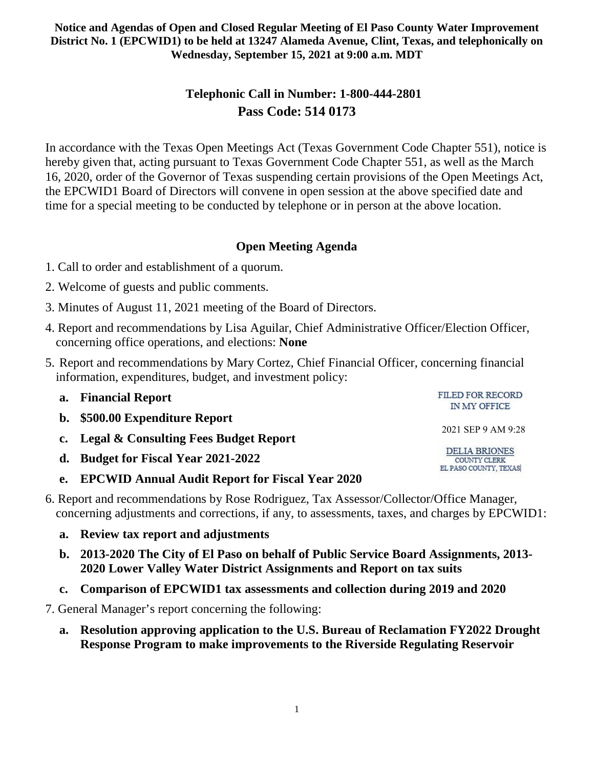# **Telephonic Call in Number: 1-800-444-2801 Pass Code: 514 0173**

In accordance with the Texas Open Meetings Act (Texas Government Code Chapter 551), notice is hereby given that, acting pursuant to Texas Government Code Chapter 551, as well as the March 16, 2020, order of the Governor of Texas suspending certain provisions of the Open Meetings Act, the EPCWID1 Board of Directors will convene in open session at the above specified date and time for a special meeting to be conducted by telephone or in person at the above location.

## **Open Meeting Agenda**

- 1. Call to order and establishment of a quorum.
- 2. Welcome of guests and public comments.
- 3. Minutes of August 11, 2021 meeting of the Board of Directors.
- 4. Report and recommendations by Lisa Aguilar, Chief Administrative Officer/Election Officer, concerning office operations, and elections: **None**
- 5. Report and recommendations by Mary Cortez, Chief Financial Officer, concerning financial information, expenditures, budget, and investment policy:

| a. | <b>Financial Report</b>                                | FILED FOR RECORD<br>IN MY OFFICE                                     |
|----|--------------------------------------------------------|----------------------------------------------------------------------|
|    | b. \$500.00 Expenditure Report                         |                                                                      |
|    | c. Legal & Consulting Fees Budget Report               | 2021 SEP 9 AM 9:28                                                   |
|    | d. Budget for Fiscal Year 2021-2022                    | <b>DELIA BRIONES</b><br><b>COUNTY CLERK</b><br>EL PASO COUNTY, TEXAS |
| e. | <b>EPCWID Annual Audit Report for Fiscal Year 2020</b> |                                                                      |

- 6. Report and recommendations by Rose Rodriguez, Tax Assessor/Collector/Office Manager, concerning adjustments and corrections, if any, to assessments, taxes, and charges by EPCWID1:
	- **a. Review tax report and adjustments**
	- **b. 2013-2020 The City of El Paso on behalf of Public Service Board Assignments, 2013- 2020 Lower Valley Water District Assignments and Report on tax suits**
	- **c. Comparison of EPCWID1 tax assessments and collection during 2019 and 2020**
- 7. General Manager's report concerning the following:
	- **a. Resolution approving application to the U.S. Bureau of Reclamation FY2022 Drought Response Program to make improvements to the Riverside Regulating Reservoir**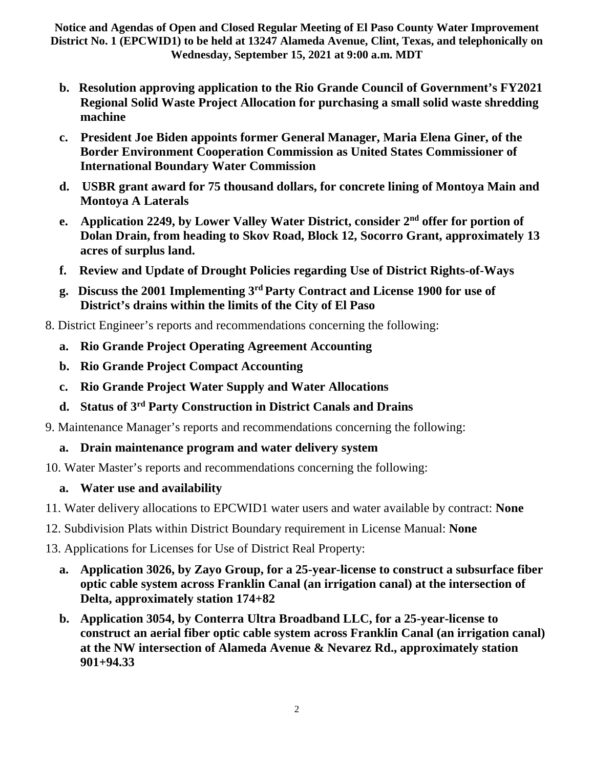- **b. Resolution approving application to the Rio Grande Council of Government's FY2021 Regional Solid Waste Project Allocation for purchasing a small solid waste shredding machine**
- **c. President Joe Biden appoints former General Manager, Maria Elena Giner, of the Border Environment Cooperation Commission as United States Commissioner of International Boundary Water Commission**
- **d. USBR grant award for 75 thousand dollars, for concrete lining of Montoya Main and Montoya A Laterals**
- **e. Application 2249, by Lower Valley Water District, consider 2nd offer for portion of Dolan Drain, from heading to Skov Road, Block 12, Socorro Grant, approximately 13 acres of surplus land.**
- **f. Review and Update of Drought Policies regarding Use of District Rights-of-Ways**
- **g. Discuss the 2001 Implementing 3rd Party Contract and License 1900 for use of District's drains within the limits of the City of El Paso**
- 8. District Engineer's reports and recommendations concerning the following:
	- **a. Rio Grande Project Operating Agreement Accounting**
	- **b. Rio Grande Project Compact Accounting**
	- **c. Rio Grande Project Water Supply and Water Allocations**
	- **d. Status of 3rd Party Construction in District Canals and Drains**
- 9. Maintenance Manager's reports and recommendations concerning the following:

### **a. Drain maintenance program and water delivery system**

10. Water Master's reports and recommendations concerning the following:

# **a. Water use and availability**

- 11. Water delivery allocations to EPCWID1 water users and water available by contract: **None**
- 12. Subdivision Plats within District Boundary requirement in License Manual: **None**
- 13. Applications for Licenses for Use of District Real Property:
	- **a. Application 3026, by Zayo Group, for a 25-year-license to construct a subsurface fiber optic cable system across Franklin Canal (an irrigation canal) at the intersection of Delta, approximately station 174+82**
	- **b. Application 3054, by Conterra Ultra Broadband LLC, for a 25-year-license to construct an aerial fiber optic cable system across Franklin Canal (an irrigation canal) at the NW intersection of Alameda Avenue & Nevarez Rd., approximately station 901+94.33**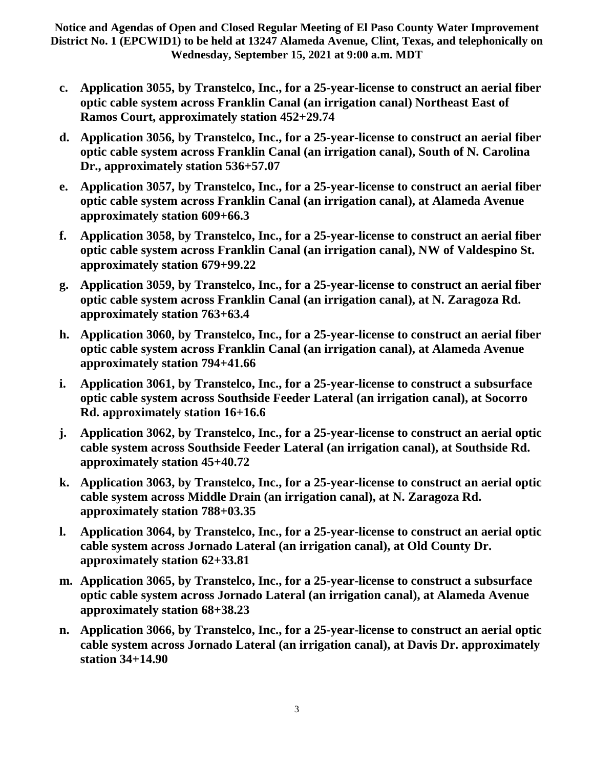- **c. Application 3055, by Transtelco, Inc., for a 25-year-license to construct an aerial fiber optic cable system across Franklin Canal (an irrigation canal) Northeast East of Ramos Court, approximately station 452+29.74**
- **d. Application 3056, by Transtelco, Inc., for a 25-year-license to construct an aerial fiber optic cable system across Franklin Canal (an irrigation canal), South of N. Carolina Dr., approximately station 536+57.07**
- **e. Application 3057, by Transtelco, Inc., for a 25-year-license to construct an aerial fiber optic cable system across Franklin Canal (an irrigation canal), at Alameda Avenue approximately station 609+66.3**
- **f. Application 3058, by Transtelco, Inc., for a 25-year-license to construct an aerial fiber optic cable system across Franklin Canal (an irrigation canal), NW of Valdespino St. approximately station 679+99.22**
- **g. Application 3059, by Transtelco, Inc., for a 25-year-license to construct an aerial fiber optic cable system across Franklin Canal (an irrigation canal), at N. Zaragoza Rd. approximately station 763+63.4**
- **h. Application 3060, by Transtelco, Inc., for a 25-year-license to construct an aerial fiber optic cable system across Franklin Canal (an irrigation canal), at Alameda Avenue approximately station 794+41.66**
- **i. Application 3061, by Transtelco, Inc., for a 25-year-license to construct a subsurface optic cable system across Southside Feeder Lateral (an irrigation canal), at Socorro Rd. approximately station 16+16.6**
- **j. Application 3062, by Transtelco, Inc., for a 25-year-license to construct an aerial optic cable system across Southside Feeder Lateral (an irrigation canal), at Southside Rd. approximately station 45+40.72**
- **k. Application 3063, by Transtelco, Inc., for a 25-year-license to construct an aerial optic cable system across Middle Drain (an irrigation canal), at N. Zaragoza Rd. approximately station 788+03.35**
- **l. Application 3064, by Transtelco, Inc., for a 25-year-license to construct an aerial optic cable system across Jornado Lateral (an irrigation canal), at Old County Dr. approximately station 62+33.81**
- **m. Application 3065, by Transtelco, Inc., for a 25-year-license to construct a subsurface optic cable system across Jornado Lateral (an irrigation canal), at Alameda Avenue approximately station 68+38.23**
- **n. Application 3066, by Transtelco, Inc., for a 25-year-license to construct an aerial optic cable system across Jornado Lateral (an irrigation canal), at Davis Dr. approximately station 34+14.90**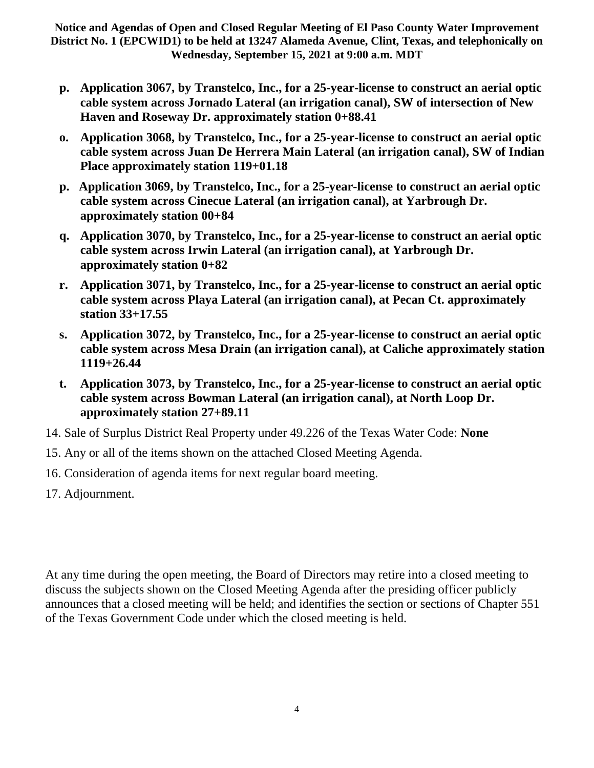- **p. Application 3067, by Transtelco, Inc., for a 25-year-license to construct an aerial optic cable system across Jornado Lateral (an irrigation canal), SW of intersection of New Haven and Roseway Dr. approximately station 0+88.41**
- **o. Application 3068, by Transtelco, Inc., for a 25-year-license to construct an aerial optic cable system across Juan De Herrera Main Lateral (an irrigation canal), SW of Indian Place approximately station 119+01.18**
- **p. Application 3069, by Transtelco, Inc., for a 25-year-license to construct an aerial optic cable system across Cinecue Lateral (an irrigation canal), at Yarbrough Dr. approximately station 00+84**
- **q. Application 3070, by Transtelco, Inc., for a 25-year-license to construct an aerial optic cable system across Irwin Lateral (an irrigation canal), at Yarbrough Dr. approximately station 0+82**
- **r. Application 3071, by Transtelco, Inc., for a 25-year-license to construct an aerial optic cable system across Playa Lateral (an irrigation canal), at Pecan Ct. approximately station 33+17.55**
- **s. Application 3072, by Transtelco, Inc., for a 25-year-license to construct an aerial optic cable system across Mesa Drain (an irrigation canal), at Caliche approximately station 1119+26.44**
- **t. Application 3073, by Transtelco, Inc., for a 25-year-license to construct an aerial optic cable system across Bowman Lateral (an irrigation canal), at North Loop Dr. approximately station 27+89.11**
- 14. Sale of Surplus District Real Property under 49.226 of the Texas Water Code: **None**
- 15. Any or all of the items shown on the attached Closed Meeting Agenda.
- 16. Consideration of agenda items for next regular board meeting.
- 17. Adjournment.

At any time during the open meeting, the Board of Directors may retire into a closed meeting to discuss the subjects shown on the Closed Meeting Agenda after the presiding officer publicly announces that a closed meeting will be held; and identifies the section or sections of Chapter 551 of the Texas Government Code under which the closed meeting is held.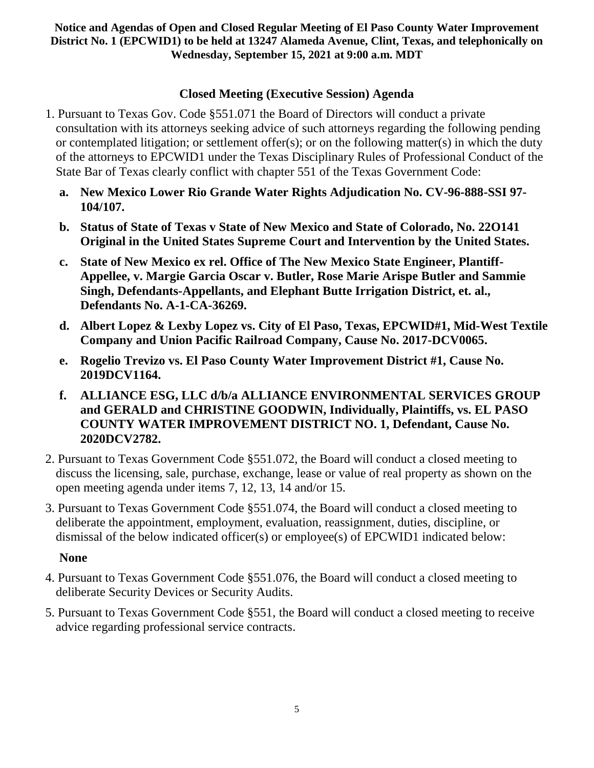## **Closed Meeting (Executive Session) Agenda**

- 1. Pursuant to Texas Gov. Code §551.071 the Board of Directors will conduct a private consultation with its attorneys seeking advice of such attorneys regarding the following pending or contemplated litigation; or settlement offer(s); or on the following matter(s) in which the duty of the attorneys to EPCWID1 under the Texas Disciplinary Rules of Professional Conduct of the State Bar of Texas clearly conflict with chapter 551 of the Texas Government Code:
	- **a. New Mexico Lower Rio Grande Water Rights Adjudication No. CV-96-888-SSI 97- 104/107.**
	- **b. Status of State of Texas v State of New Mexico and State of Colorado, No. 22O141 Original in the United States Supreme Court and Intervention by the United States.**
	- **c. State of New Mexico ex rel. Office of The New Mexico State Engineer, Plantiff-Appellee, v. Margie Garcia Oscar v. Butler, Rose Marie Arispe Butler and Sammie Singh, Defendants-Appellants, and Elephant Butte Irrigation District, et. al., Defendants No. A-1-CA-36269.**
	- **d. Albert Lopez & Lexby Lopez vs. City of El Paso, Texas, EPCWID#1, Mid-West Textile Company and Union Pacific Railroad Company, Cause No. 2017-DCV0065.**
	- **e. Rogelio Trevizo vs. El Paso County Water Improvement District #1, Cause No. 2019DCV1164.**
	- **f. ALLIANCE ESG, LLC d/b/a ALLIANCE ENVIRONMENTAL SERVICES GROUP and GERALD and CHRISTINE GOODWIN, Individually, Plaintiffs, vs. EL PASO COUNTY WATER IMPROVEMENT DISTRICT NO. 1, Defendant, Cause No. 2020DCV2782.**
- 2. Pursuant to Texas Government Code §551.072, the Board will conduct a closed meeting to discuss the licensing, sale, purchase, exchange, lease or value of real property as shown on the open meeting agenda under items 7, 12, 13, 14 and/or 15.
- 3. Pursuant to Texas Government Code §551.074, the Board will conduct a closed meeting to deliberate the appointment, employment, evaluation, reassignment, duties, discipline, or dismissal of the below indicated officer(s) or employee(s) of EPCWID1 indicated below:

### **None**

- 4. Pursuant to Texas Government Code §551.076, the Board will conduct a closed meeting to deliberate Security Devices or Security Audits.
- 5. Pursuant to Texas Government Code §551, the Board will conduct a closed meeting to receive advice regarding professional service contracts.